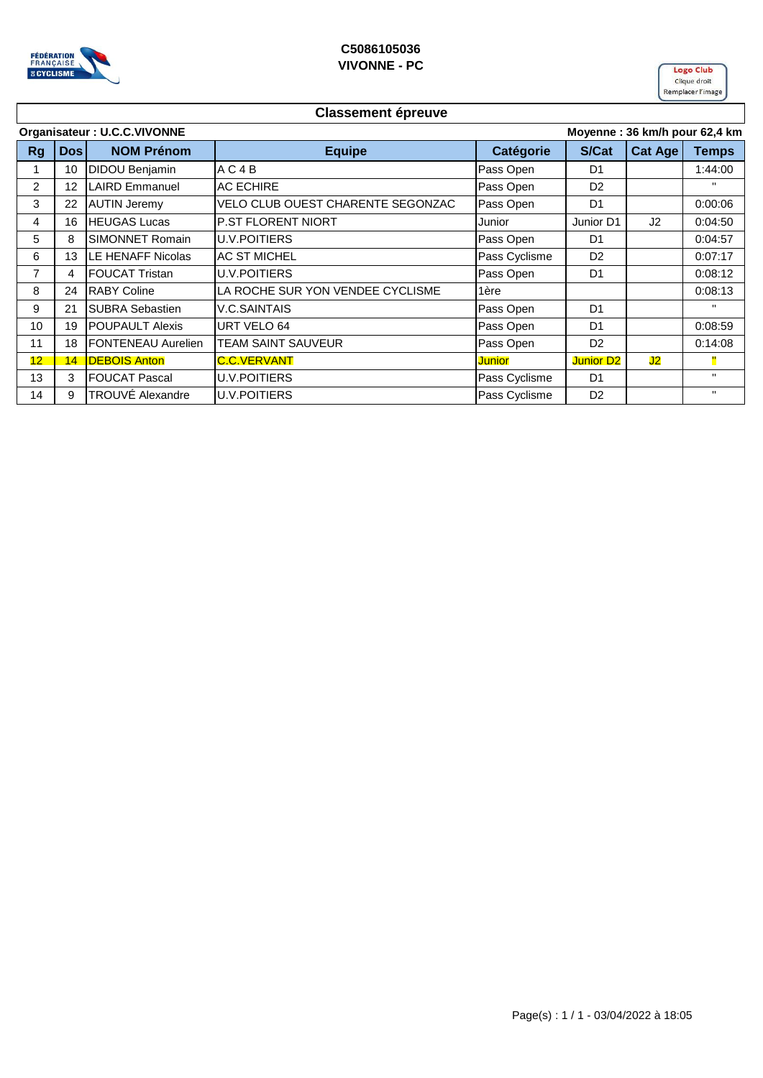



## **Classement épreuve**

| Organisateur: U.C.C.VIVONNE |            |                           |                                   |               |                  | Moyenne: 36 km/h pour 62,4 km |              |  |
|-----------------------------|------------|---------------------------|-----------------------------------|---------------|------------------|-------------------------------|--------------|--|
| <b>Rg</b>                   | <b>Dos</b> | <b>NOM Prénom</b>         | <b>Equipe</b>                     | Catégorie     | S/Cat            | Cat Age                       | <b>Temps</b> |  |
|                             | 10         | <b>DIDOU Benjamin</b>     | AC4B                              | Pass Open     | D <sub>1</sub>   |                               | 1:44:00      |  |
| $\overline{2}$              | 12         | LAIRD Emmanuel            | <b>AC ECHIRE</b>                  | Pass Open     | D <sub>2</sub>   |                               | $\mathbf{H}$ |  |
| 3                           | 22         | <b>AUTIN Jeremy</b>       | VELO CLUB OUEST CHARENTE SEGONZAC | Pass Open     | D <sub>1</sub>   |                               | 0:00:06      |  |
| 4                           | 16         | <b>HEUGAS Lucas</b>       | <b>P.ST FLORENT NIORT</b>         | Junior        | Junior D1        | J <sub>2</sub>                | 0:04:50      |  |
| 5                           | 8          | SIMONNET Romain           | U.V.POITIERS                      | Pass Open     | D <sub>1</sub>   |                               | 0:04:57      |  |
| 6                           | 13         | LE HENAFF Nicolas         | <b>AC ST MICHEL</b>               | Pass Cyclisme | D <sub>2</sub>   |                               | 0:07:17      |  |
| 7                           | 4          | <b>FOUCAT Tristan</b>     | <b>U.V.POITIERS</b>               | Pass Open     | D <sub>1</sub>   |                               | 0:08:12      |  |
| 8                           | 24         | <b>RABY Coline</b>        | LA ROCHE SUR YON VENDEE CYCLISME  | 1ère          |                  |                               | 0:08:13      |  |
| 9                           | 21         | <b>SUBRA Sebastien</b>    | <b>V.C.SAINTAIS</b>               | Pass Open     | D <sub>1</sub>   |                               | $\mathbf{H}$ |  |
| 10                          | 19         | <b>POUPAULT Alexis</b>    | URT VELO 64                       | Pass Open     | D <sub>1</sub>   |                               | 0:08:59      |  |
| 11                          | 18         | <b>FONTENEAU Aurelien</b> | <b>TEAM SAINT SAUVEUR</b>         | Pass Open     | D <sub>2</sub>   |                               | 0:14:08      |  |
| 12                          | 14         | <b>DEBOIS Anton</b>       | <b>C.C.VERVANT</b>                | Junior        | <b>Junior D2</b> | J2                            | Ш            |  |
| 13                          | 3          | <b>FOUCAT Pascal</b>      | <b>U.V.POITIERS</b>               | Pass Cyclisme | D <sub>1</sub>   |                               | $\mathbf{H}$ |  |
| 14                          | 9          | TROUVÉ Alexandre          | <b>U.V.POITIERS</b>               | Pass Cyclisme | D <sub>2</sub>   |                               | $\mathbf{H}$ |  |
|                             |            |                           |                                   |               |                  |                               |              |  |